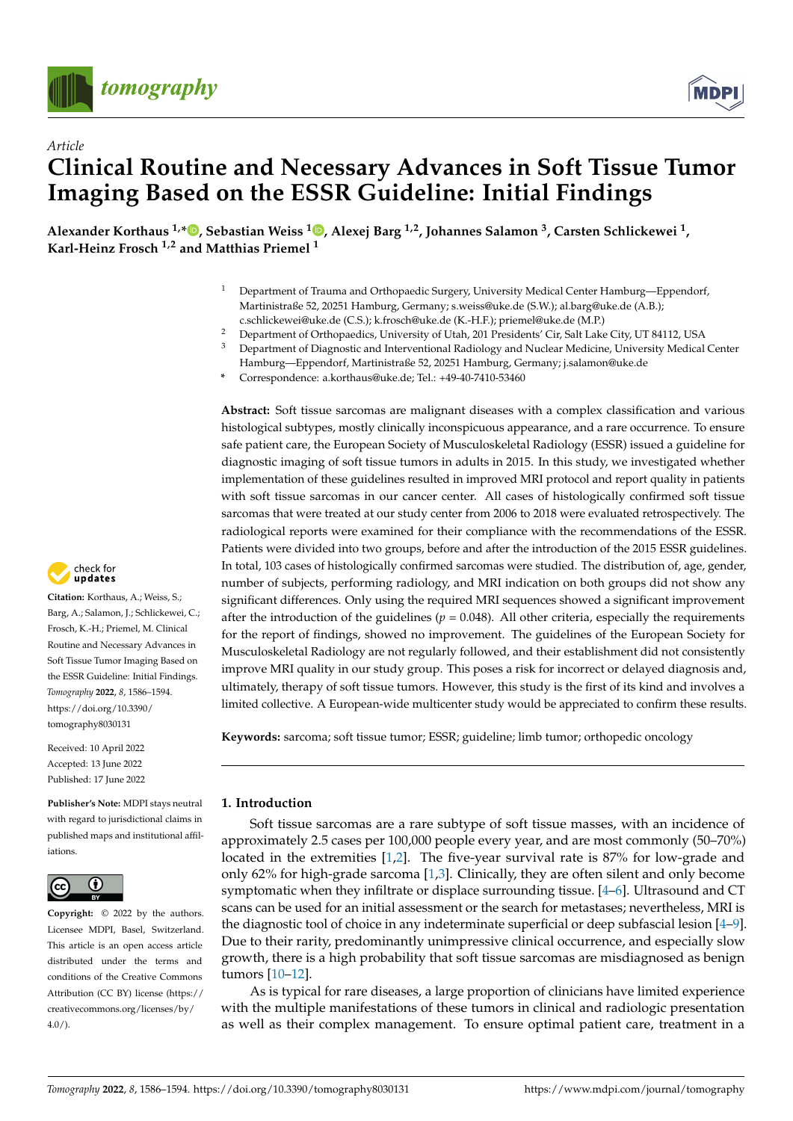



# *Article* **Clinical Routine and Necessary Advances in Soft Tissue Tumor Imaging Based on the ESSR Guideline: Initial Findings**

**Alexander Korthaus 1,\* [,](https://orcid.org/0000-0001-5361-6173) Sebastian Weiss <sup>1</sup> [,](https://orcid.org/0000-0002-0668-981X) Alexej Barg 1,2, Johannes Salamon <sup>3</sup> , Carsten Schlickewei <sup>1</sup> , Karl-Heinz Frosch 1,2 and Matthias Priemel <sup>1</sup>**

- <sup>1</sup> Department of Trauma and Orthopaedic Surgery, University Medical Center Hamburg—Eppendorf, Martinistraße 52, 20251 Hamburg, Germany; s.weiss@uke.de (S.W.); al.barg@uke.de (A.B.); c.schlickewei@uke.de (C.S.); k.frosch@uke.de (K.-H.F.); priemel@uke.de (M.P.)
- <sup>2</sup> Department of Orthopaedics, University of Utah, 201 Presidents' Cir, Salt Lake City, UT 84112, USA<br><sup>3</sup> Department of Discressive and Interventional Badiology and Nuclear Medicine, University Medical
- <sup>3</sup> Department of Diagnostic and Interventional Radiology and Nuclear Medicine, University Medical Center Hamburg—Eppendorf, Martinistraße 52, 20251 Hamburg, Germany; j.salamon@uke.de
- **\*** Correspondence: a.korthaus@uke.de; Tel.: +49-40-7410-53460

**Abstract:** Soft tissue sarcomas are malignant diseases with a complex classification and various histological subtypes, mostly clinically inconspicuous appearance, and a rare occurrence. To ensure safe patient care, the European Society of Musculoskeletal Radiology (ESSR) issued a guideline for diagnostic imaging of soft tissue tumors in adults in 2015. In this study, we investigated whether implementation of these guidelines resulted in improved MRI protocol and report quality in patients with soft tissue sarcomas in our cancer center. All cases of histologically confirmed soft tissue sarcomas that were treated at our study center from 2006 to 2018 were evaluated retrospectively. The radiological reports were examined for their compliance with the recommendations of the ESSR. Patients were divided into two groups, before and after the introduction of the 2015 ESSR guidelines. In total, 103 cases of histologically confirmed sarcomas were studied. The distribution of, age, gender, number of subjects, performing radiology, and MRI indication on both groups did not show any significant differences. Only using the required MRI sequences showed a significant improvement after the introduction of the guidelines ( $p = 0.048$ ). All other criteria, especially the requirements for the report of findings, showed no improvement. The guidelines of the European Society for Musculoskeletal Radiology are not regularly followed, and their establishment did not consistently improve MRI quality in our study group. This poses a risk for incorrect or delayed diagnosis and, ultimately, therapy of soft tissue tumors. However, this study is the first of its kind and involves a limited collective. A European-wide multicenter study would be appreciated to confirm these results.

**Keywords:** sarcoma; soft tissue tumor; ESSR; guideline; limb tumor; orthopedic oncology

# **1. Introduction**

Soft tissue sarcomas are a rare subtype of soft tissue masses, with an incidence of approximately 2.5 cases per 100,000 people every year, and are most commonly (50–70%) located in the extremities [\[1,](#page-6-0)[2\]](#page-6-1). The five-year survival rate is 87% for low-grade and only 62% for high-grade sarcoma [\[1,](#page-6-0)[3\]](#page-6-2). Clinically, they are often silent and only become symptomatic when they infiltrate or displace surrounding tissue. [\[4](#page-6-3)[–6\]](#page-7-0). Ultrasound and CT scans can be used for an initial assessment or the search for metastases; nevertheless, MRI is the diagnostic tool of choice in any indeterminate superficial or deep subfascial lesion [\[4](#page-6-3)[–9\]](#page-7-1). Due to their rarity, predominantly unimpressive clinical occurrence, and especially slow growth, there is a high probability that soft tissue sarcomas are misdiagnosed as benign tumors [\[10–](#page-7-2)[12\]](#page-7-3).

As is typical for rare diseases, a large proportion of clinicians have limited experience with the multiple manifestations of these tumors in clinical and radiologic presentation as well as their complex management. To ensure optimal patient care, treatment in a



**Citation:** Korthaus, A.; Weiss, S.; Barg, A.; Salamon, J.; Schlickewei, C.; Frosch, K.-H.; Priemel, M. Clinical Routine and Necessary Advances in Soft Tissue Tumor Imaging Based on the ESSR Guideline: Initial Findings. *Tomography* **2022**, *8*, 1586–1594. [https://doi.org/10.3390/](https://doi.org/10.3390/tomography8030131) [tomography8030131](https://doi.org/10.3390/tomography8030131)

Received: 10 April 2022 Accepted: 13 June 2022 Published: 17 June 2022

**Publisher's Note:** MDPI stays neutral with regard to jurisdictional claims in published maps and institutional affiliations.



**Copyright:** © 2022 by the authors. Licensee MDPI, Basel, Switzerland. This article is an open access article distributed under the terms and conditions of the Creative Commons Attribution (CC BY) license [\(https://](https://creativecommons.org/licenses/by/4.0/) [creativecommons.org/licenses/by/](https://creativecommons.org/licenses/by/4.0/)  $4.0/$ ).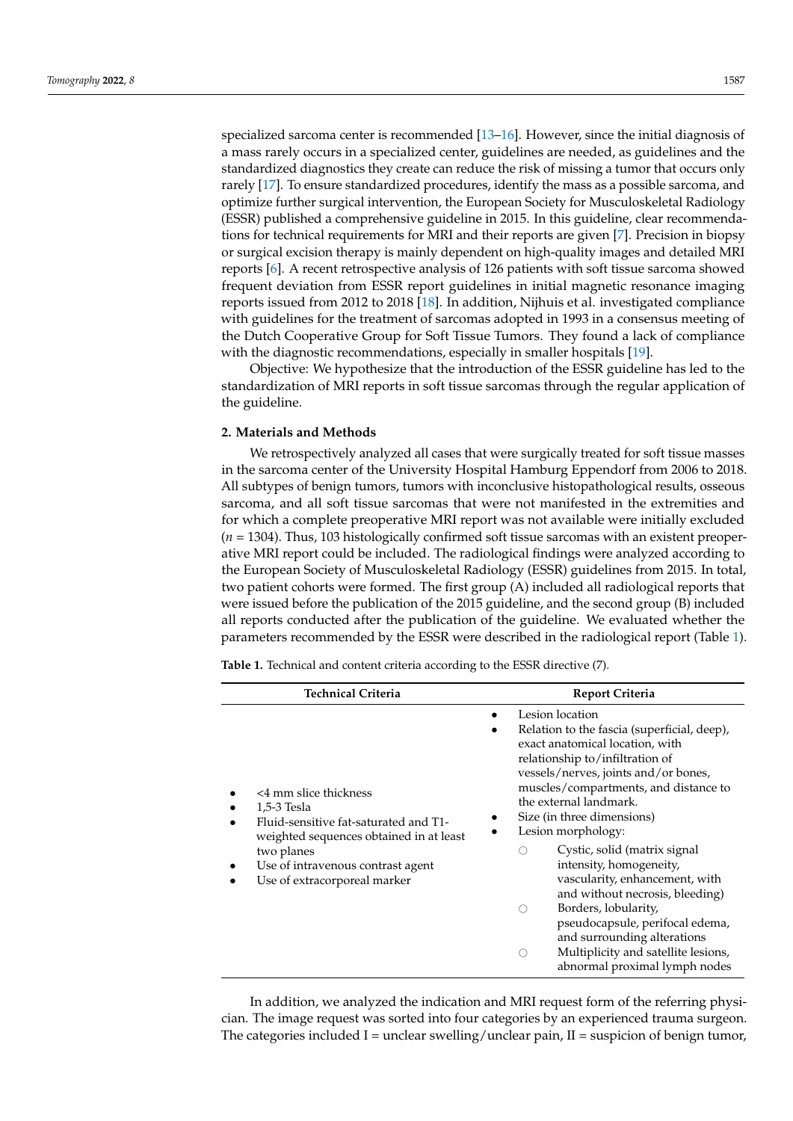specialized sarcoma center is recommended [\[13](#page-7-4)[–16\]](#page-7-5). However, since the initial diagnosis of a mass rarely occurs in a specialized center, guidelines are needed, as guidelines and the standardized diagnostics they create can reduce the risk of missing a tumor that occurs only rarely [\[17\]](#page-7-6). To ensure standardized procedures, identify the mass as a possible sarcoma, and optimize further surgical intervention, the European Society for Musculoskeletal Radiology (ESSR) published a comprehensive guideline in 2015. In this guideline, clear recommendations for technical requirements for MRI and their reports are given [\[7\]](#page-7-7). Precision in biopsy or surgical excision therapy is mainly dependent on high-quality images and detailed MRI reports [\[6\]](#page-7-0). A recent retrospective analysis of 126 patients with soft tissue sarcoma showed frequent deviation from ESSR report guidelines in initial magnetic resonance imaging reports issued from 2012 to 2018 [\[18\]](#page-7-8). In addition, Nijhuis et al. investigated compliance with guidelines for the treatment of sarcomas adopted in 1993 in a consensus meeting of the Dutch Cooperative Group for Soft Tissue Tumors. They found a lack of compliance with the diagnostic recommendations, especially in smaller hospitals [\[19\]](#page-7-9).

Objective: We hypothesize that the introduction of the ESSR guideline has led to the standardization of MRI reports in soft tissue sarcomas through the regular application of the guideline.

## **2. Materials and Methods**

We retrospectively analyzed all cases that were surgically treated for soft tissue masses in the sarcoma center of the University Hospital Hamburg Eppendorf from 2006 to 2018. All subtypes of benign tumors, tumors with inconclusive histopathological results, osseous sarcoma, and all soft tissue sarcomas that were not manifested in the extremities and for which a complete preoperative MRI report was not available were initially excluded (*n* = 1304). Thus, 103 histologically confirmed soft tissue sarcomas with an existent preoperative MRI report could be included. The radiological findings were analyzed according to the European Society of Musculoskeletal Radiology (ESSR) guidelines from 2015. In total, two patient cohorts were formed. The first group (A) included all radiological reports that were issued before the publication of the 2015 guideline, and the second group (B) included all reports conducted after the publication of the guideline. We evaluated whether the parameters recommended by the ESSR were described in the radiological report (Table [1\)](#page-1-0).

<span id="page-1-0"></span>**Table 1.** Technical and content criteria according to the ESSR directive (7).

| <b>Technical Criteria</b>                                                                                                                                                                                   | <b>Report Criteria</b>                                                                                                                                                                                                                                                                                                                                                                                                                                                                                                                                                                                                                                      |
|-------------------------------------------------------------------------------------------------------------------------------------------------------------------------------------------------------------|-------------------------------------------------------------------------------------------------------------------------------------------------------------------------------------------------------------------------------------------------------------------------------------------------------------------------------------------------------------------------------------------------------------------------------------------------------------------------------------------------------------------------------------------------------------------------------------------------------------------------------------------------------------|
| <4 mm slice thickness<br>1,5-3 Tesla<br>Fluid-sensitive fat-saturated and T1-<br>weighted sequences obtained in at least<br>two planes<br>Use of intravenous contrast agent<br>Use of extracorporeal marker | Lesion location<br>Relation to the fascia (superficial, deep),<br>exact anatomical location, with<br>relationship to/infiltration of<br>vessels/nerves, joints and/or bones,<br>muscles/compartments, and distance to<br>the external landmark.<br>Size (in three dimensions)<br>Lesion morphology:<br>Cystic, solid (matrix signal<br>intensity, homogeneity,<br>vascularity, enhancement, with<br>and without necrosis, bleeding)<br>Borders, lobularity,<br>$\left(\begin{array}{c} \end{array}\right)$<br>pseudocapsule, perifocal edema,<br>and surrounding alterations<br>Multiplicity and satellite lesions,<br>( )<br>abnormal proximal lymph nodes |

In addition, we analyzed the indication and MRI request form of the referring physician. The image request was sorted into four categories by an experienced trauma surgeon. The categories included I = unclear swelling/unclear pain,  $II$  = suspicion of benign tumor,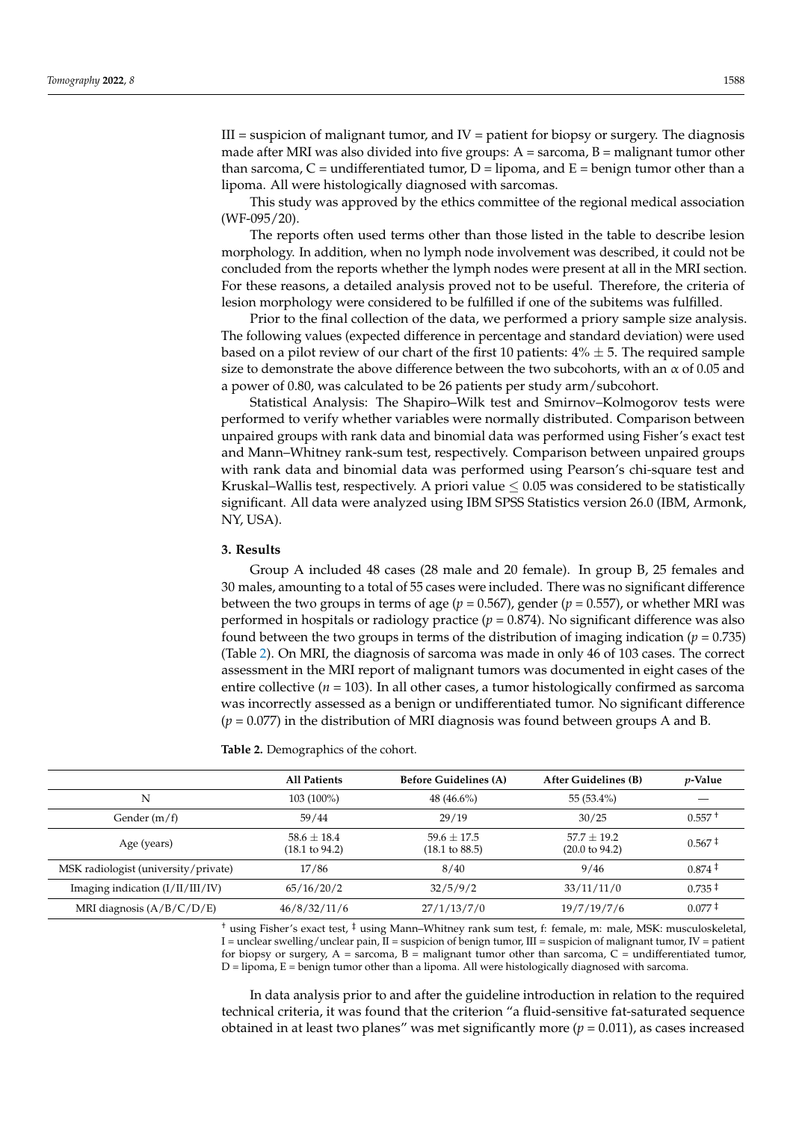$III =$  suspicion of malignant tumor, and  $IV =$  patient for biopsy or surgery. The diagnosis made after MRI was also divided into five groups:  $A =$  sarcoma,  $B =$  malignant tumor other than sarcoma,  $C =$  undifferentiated tumor,  $D =$  lipoma, and  $E =$  benign tumor other than a lipoma. All were histologically diagnosed with sarcomas.

This study was approved by the ethics committee of the regional medical association (WF-095/20).

The reports often used terms other than those listed in the table to describe lesion morphology. In addition, when no lymph node involvement was described, it could not be concluded from the reports whether the lymph nodes were present at all in the MRI section. For these reasons, a detailed analysis proved not to be useful. Therefore, the criteria of lesion morphology were considered to be fulfilled if one of the subitems was fulfilled.

Prior to the final collection of the data, we performed a priory sample size analysis. The following values (expected difference in percentage and standard deviation) were used based on a pilot review of our chart of the first 10 patients:  $4\% \pm 5$ . The required sample size to demonstrate the above difference between the two subcohorts, with an  $\alpha$  of 0.05 and a power of 0.80, was calculated to be 26 patients per study arm/subcohort.

Statistical Analysis: The Shapiro–Wilk test and Smirnov–Kolmogorov tests were performed to verify whether variables were normally distributed. Comparison between unpaired groups with rank data and binomial data was performed using Fisher's exact test and Mann–Whitney rank-sum test, respectively. Comparison between unpaired groups with rank data and binomial data was performed using Pearson's chi-square test and Kruskal–Wallis test, respectively. A priori value  $\leq 0.05$  was considered to be statistically significant. All data were analyzed using IBM SPSS Statistics version 26.0 (IBM, Armonk, NY, USA).

### **3. Results**

Group A included 48 cases (28 male and 20 female). In group B, 25 females and 30 males, amounting to a total of 55 cases were included. There was no significant difference between the two groups in terms of age (*p* = 0.567), gender (*p* = 0.557), or whether MRI was performed in hospitals or radiology practice  $(p = 0.874)$ . No significant difference was also found between the two groups in terms of the distribution of imaging indication ( $p = 0.735$ ) (Table [2\)](#page-2-0). On MRI, the diagnosis of sarcoma was made in only 46 of 103 cases. The correct assessment in the MRI report of malignant tumors was documented in eight cases of the entire collective ( $n = 103$ ). In all other cases, a tumor histologically confirmed as sarcoma was incorrectly assessed as a benign or undifferentiated tumor. No significant difference (*p* = 0.077) in the distribution of MRI diagnosis was found between groups A and B.

<span id="page-2-0"></span>**Table 2.** Demographics of the cohort.

|                                      | <b>All Patients</b>                          | <b>Before Guidelines (A)</b>                 | <b>After Guidelines (B)</b>                | <i>v</i> -Value |
|--------------------------------------|----------------------------------------------|----------------------------------------------|--------------------------------------------|-----------------|
| N                                    | 103 (100%)                                   | $48(46.6\%)$                                 | $55(53.4\%)$                               |                 |
| Gender (m/f)                         | 59/44                                        | 29/19                                        | 30/25                                      | $0.557 +$       |
| Age (years)                          | $58.6 \pm 18.4$<br>$(18.1 \text{ to } 94.2)$ | $59.6 \pm 17.5$<br>$(18.1 \text{ to } 88.5)$ | $57.7 + 19.2$<br>$(20.0 \text{ to } 94.2)$ | $0.567 \pm$     |
| MSK radiologist (university/private) | 17/86                                        | 8/40                                         | 9/46                                       | $0.874 \pm$     |
| Imaging indication $(I/II/III/IV)$   | 65/16/20/2                                   | 32/5/9/2                                     | 33/11/11/0                                 | $0.735 \pm$     |
| MRI diagnosis $(A/B/C/D/E)$          | 46/8/32/11/6                                 | 27/1/13/7/0                                  | 19/7/19/7/6                                | $0.077 \pm$     |

† using Fisher's exact test, ‡ using Mann–Whitney rank sum test, f: female, m: male, MSK: musculoskeletal, I = unclear swelling/unclear pain,  $\overline{II}$  = suspicion of benign tumor,  $III$  = suspicion of malignant tumor,  $IV$  = patient for biopsy or surgery,  $A =$  sarcoma,  $B =$  malignant tumor other than sarcoma,  $C =$  undifferentiated tumor,  $D =$  lipoma,  $E =$  benign tumor other than a lipoma. All were histologically diagnosed with sarcoma.

In data analysis prior to and after the guideline introduction in relation to the required technical criteria, it was found that the criterion "a fluid-sensitive fat-saturated sequence obtained in at least two planes" was met significantly more  $(p = 0.011)$ , as cases increased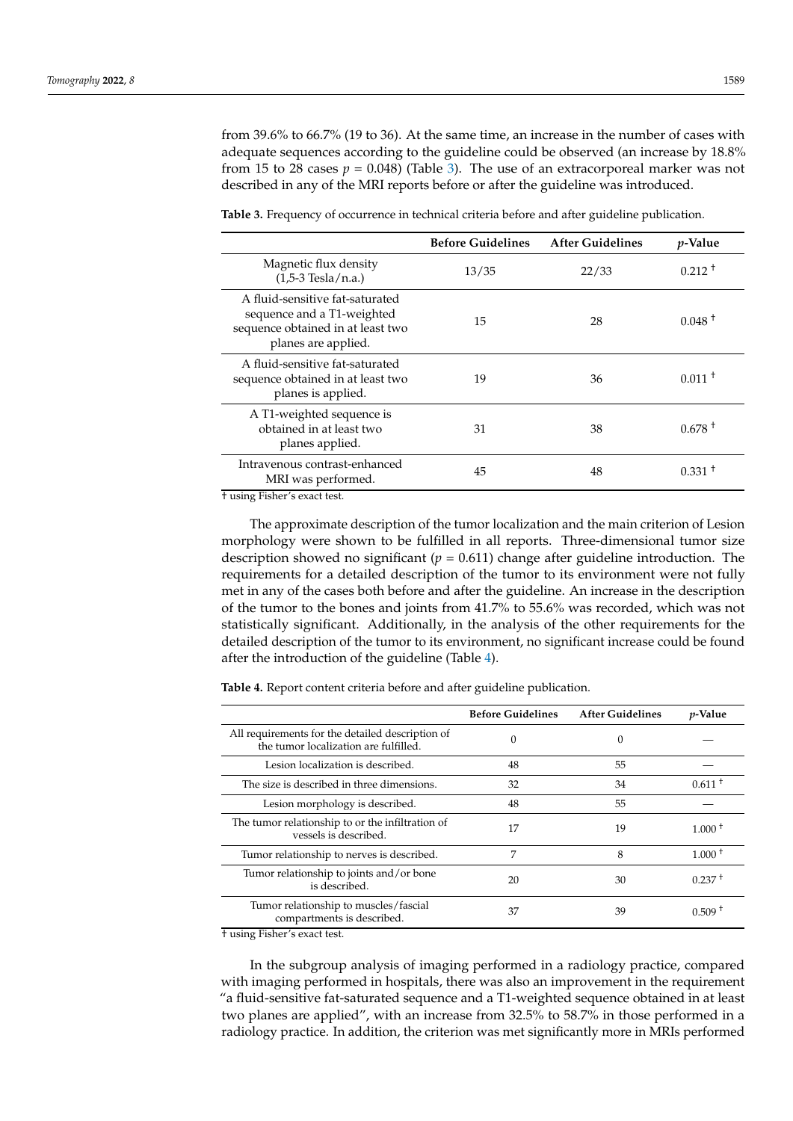from 39.6% to 66.7% (19 to 36). At the same time, an increase in the number of cases with adequate sequences according to the guideline could be observed (an increase by 18.8% from 15 to 28 cases  $p = 0.048$  (Table [3\)](#page-3-0). The use of an extracorporeal marker was not described in any of the MRI reports before or after the guideline was introduced.

|                                                                                                                           | <b>Before Guidelines</b> | <b>After Guidelines</b> | <i>p</i> -Value |
|---------------------------------------------------------------------------------------------------------------------------|--------------------------|-------------------------|-----------------|
| Magnetic flux density<br>$(1,5-3$ Tesla/n.a.)                                                                             | 13/35                    | 22/33                   | $0.212 \pm 1$   |
| A fluid-sensitive fat-saturated<br>sequence and a T1-weighted<br>sequence obtained in at least two<br>planes are applied. | 15                       | 28                      | $0.048 +$       |
| A fluid-sensitive fat-saturated<br>sequence obtained in at least two<br>planes is applied.                                | 19                       | 36                      | $0.011 +$       |
| A T1-weighted sequence is<br>obtained in at least two<br>planes applied.                                                  | 31                       | 38                      | $0.678 +$       |
| Intravenous contrast-enhanced<br>MRI was performed.                                                                       | 45                       | 48                      | $0.331 +$       |

<span id="page-3-0"></span>**Table 3.** Frequency of occurrence in technical criteria before and after guideline publication.

† using Fisher's exact test.

The approximate description of the tumor localization and the main criterion of Lesion morphology were shown to be fulfilled in all reports. Three-dimensional tumor size description showed no significant  $(p = 0.611)$  change after guideline introduction. The requirements for a detailed description of the tumor to its environment were not fully met in any of the cases both before and after the guideline. An increase in the description of the tumor to the bones and joints from 41.7% to 55.6% was recorded, which was not statistically significant. Additionally, in the analysis of the other requirements for the detailed description of the tumor to its environment, no significant increase could be found after the introduction of the guideline (Table [4\)](#page-3-1).

<span id="page-3-1"></span>**Table 4.** Report content criteria before and after guideline publication.

|                                                                                           | <b>Before Guidelines</b> | <b>After Guidelines</b> | <i>p</i> -Value    |
|-------------------------------------------------------------------------------------------|--------------------------|-------------------------|--------------------|
| All requirements for the detailed description of<br>the tumor localization are fulfilled. | 0                        | 0                       |                    |
| Lesion localization is described.                                                         | 48                       | 55                      |                    |
| The size is described in three dimensions.                                                | 32                       | 34                      | $0.611 +$          |
| Lesion morphology is described.                                                           | 48                       | 55                      |                    |
| The tumor relationship to or the infiltration of<br>vessels is described.                 | 17                       | 19                      | 1.000 <sup>†</sup> |
| Tumor relationship to nerves is described.                                                | 7                        | 8                       | $1.000 +$          |
| Tumor relationship to joints and/or bone<br>is described.                                 | 20                       | 30                      | $0.237+$           |
| Tumor relationship to muscles/fascial<br>compartments is described.                       | 37                       | 39                      | $0.509 +$          |

† using Fisher's exact test.

In the subgroup analysis of imaging performed in a radiology practice, compared with imaging performed in hospitals, there was also an improvement in the requirement "a fluid-sensitive fat-saturated sequence and a T1-weighted sequence obtained in at least two planes are applied", with an increase from 32.5% to 58.7% in those performed in a radiology practice. In addition, the criterion was met significantly more in MRIs performed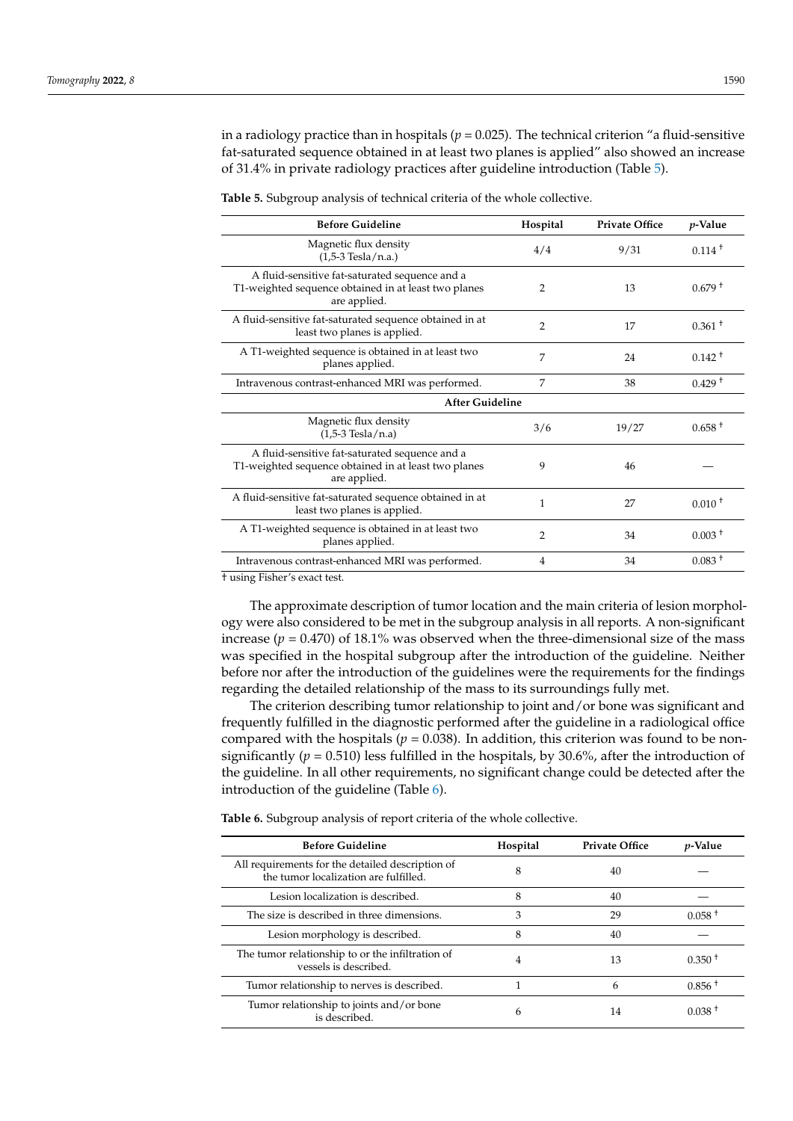in a radiology practice than in hospitals ( $p = 0.025$ ). The technical criterion "a fluid-sensitive fat-saturated sequence obtained in at least two planes is applied" also showed an increase of 31.4% in private radiology practices after guideline introduction (Table [5\)](#page-4-0).

<span id="page-4-0"></span>**Table 5.** Subgroup analysis of technical criteria of the whole collective.

| <b>Before Guideline</b>                                                                                                | Hospital       | <b>Private Office</b> | <i>p</i> -Value |
|------------------------------------------------------------------------------------------------------------------------|----------------|-----------------------|-----------------|
| Magnetic flux density<br>$(1,5-3$ Tesla/n.a.)                                                                          | 4/4            | 9/31                  | $0.114 +$       |
| A fluid-sensitive fat-saturated sequence and a<br>T1-weighted sequence obtained in at least two planes<br>are applied. | 2              | 13                    | $0.679 +$       |
| A fluid-sensitive fat-saturated sequence obtained in at<br>least two planes is applied.                                | 2              | 17                    | $0.361 +$       |
| A T1-weighted sequence is obtained in at least two<br>planes applied.                                                  | 7              | 24                    | $0.142 +$       |
| Intravenous contrast-enhanced MRI was performed.                                                                       | 7              | 38                    | $0.429 +$       |
| <b>After Guideline</b>                                                                                                 |                |                       |                 |
| Magnetic flux density<br>$(1.5-3$ Tesla/n.a)                                                                           | 3/6            | 19/27                 | $0.658 +$       |
| A fluid-sensitive fat-saturated sequence and a<br>T1-weighted sequence obtained in at least two planes<br>are applied. | 9              | 46                    |                 |
| A fluid-sensitive fat-saturated sequence obtained in at<br>least two planes is applied.                                | 1              | 27                    | $0.010 +$       |
| A T1-weighted sequence is obtained in at least two<br>planes applied.                                                  | $\overline{2}$ | 34                    | $0.003 +$       |
| Intravenous contrast-enhanced MRI was performed.                                                                       | 4              | 34                    | $0.083 +$       |

† using Fisher's exact test.

The approximate description of tumor location and the main criteria of lesion morphology were also considered to be met in the subgroup analysis in all reports. A non-significant increase  $(p = 0.470)$  of 18.1% was observed when the three-dimensional size of the mass was specified in the hospital subgroup after the introduction of the guideline. Neither before nor after the introduction of the guidelines were the requirements for the findings regarding the detailed relationship of the mass to its surroundings fully met.

The criterion describing tumor relationship to joint and/or bone was significant and frequently fulfilled in the diagnostic performed after the guideline in a radiological office compared with the hospitals ( $p = 0.038$ ). In addition, this criterion was found to be nonsignificantly ( $p = 0.510$ ) less fulfilled in the hospitals, by 30.6%, after the introduction of the guideline. In all other requirements, no significant change could be detected after the introduction of the guideline (Table [6\)](#page-4-1).

<span id="page-4-1"></span>**Table 6.** Subgroup analysis of report criteria of the whole collective.

| <b>Before Guideline</b>                                                                   | Hospital | <b>Private Office</b> | <i>p</i> -Value    |
|-------------------------------------------------------------------------------------------|----------|-----------------------|--------------------|
| All requirements for the detailed description of<br>the tumor localization are fulfilled. | 8        | 40                    |                    |
| Lesion localization is described.                                                         | 8        | 40                    |                    |
| The size is described in three dimensions.                                                | 3        | 29                    | $0.058 +$          |
| Lesion morphology is described.                                                           | 8        | 40                    |                    |
| The tumor relationship to or the infiltration of<br>vessels is described.                 | 4        | 13                    | $0.350 +$          |
| Tumor relationship to nerves is described.                                                |          | 6                     | $0.856 +$          |
| Tumor relationship to joints and/or bone<br>is described.                                 | 6        | 14                    | 0.038 <sup>†</sup> |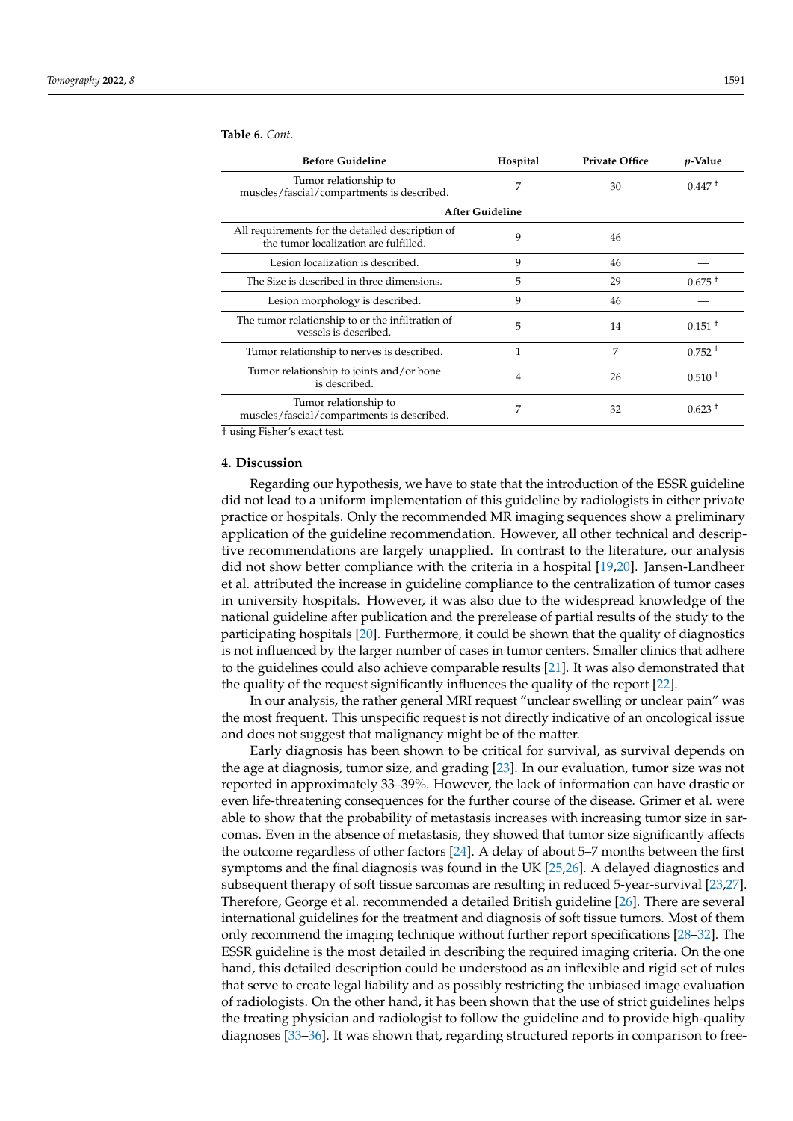| <b>Before Guideline</b>                                                                   | Hospital               | <b>Private Office</b> | <i>p</i> -Value |
|-------------------------------------------------------------------------------------------|------------------------|-----------------------|-----------------|
| Tumor relationship to<br>muscles/fascial/compartments is described.                       | 7                      | 30                    | $0.447 +$       |
|                                                                                           | <b>After Guideline</b> |                       |                 |
| All requirements for the detailed description of<br>the tumor localization are fulfilled. | 9                      | 46                    |                 |
| Lesion localization is described.                                                         | 9                      | 46                    |                 |
| The Size is described in three dimensions.                                                | 5                      | 29                    | $0.675 +$       |
| Lesion morphology is described.                                                           | 9                      | 46                    |                 |
| The tumor relationship to or the infiltration of<br>vessels is described.                 | 5                      | 14                    | $0.151 +$       |
| Tumor relationship to nerves is described.                                                | 1                      | 7                     | $0.752 +$       |
| Tumor relationship to joints and/or bone<br>is described.                                 | 4                      | 26                    | $0.510 +$       |
| Tumor relationship to<br>muscles/fascial/compartments is described.                       | 7                      | 32                    | $0.623 +$       |

**Table 6.** *Cont.*

† using Fisher's exact test.

#### **4. Discussion**

Regarding our hypothesis, we have to state that the introduction of the ESSR guideline did not lead to a uniform implementation of this guideline by radiologists in either private practice or hospitals. Only the recommended MR imaging sequences show a preliminary application of the guideline recommendation. However, all other technical and descriptive recommendations are largely unapplied. In contrast to the literature, our analysis did not show better compliance with the criteria in a hospital [\[19,](#page-7-9)[20\]](#page-7-10). Jansen-Landheer et al. attributed the increase in guideline compliance to the centralization of tumor cases in university hospitals. However, it was also due to the widespread knowledge of the national guideline after publication and the prerelease of partial results of the study to the participating hospitals [\[20\]](#page-7-10). Furthermore, it could be shown that the quality of diagnostics is not influenced by the larger number of cases in tumor centers. Smaller clinics that adhere to the guidelines could also achieve comparable results [\[21\]](#page-7-11). It was also demonstrated that the quality of the request significantly influences the quality of the report [\[22\]](#page-7-12).

In our analysis, the rather general MRI request "unclear swelling or unclear pain" was the most frequent. This unspecific request is not directly indicative of an oncological issue and does not suggest that malignancy might be of the matter.

Early diagnosis has been shown to be critical for survival, as survival depends on the age at diagnosis, tumor size, and grading [\[23\]](#page-7-13). In our evaluation, tumor size was not reported in approximately 33–39%. However, the lack of information can have drastic or even life-threatening consequences for the further course of the disease. Grimer et al. were able to show that the probability of metastasis increases with increasing tumor size in sarcomas. Even in the absence of metastasis, they showed that tumor size significantly affects the outcome regardless of other factors [\[24\]](#page-7-14). A delay of about 5–7 months between the first symptoms and the final diagnosis was found in the UK [\[25](#page-7-15)[,26\]](#page-7-16). A delayed diagnostics and subsequent therapy of soft tissue sarcomas are resulting in reduced 5-year-survival [\[23](#page-7-13)[,27\]](#page-7-17). Therefore, George et al. recommended a detailed British guideline [\[26\]](#page-7-16). There are several international guidelines for the treatment and diagnosis of soft tissue tumors. Most of them only recommend the imaging technique without further report specifications [\[28–](#page-7-18)[32\]](#page-7-19). The ESSR guideline is the most detailed in describing the required imaging criteria. On the one hand, this detailed description could be understood as an inflexible and rigid set of rules that serve to create legal liability and as possibly restricting the unbiased image evaluation of radiologists. On the other hand, it has been shown that the use of strict guidelines helps the treating physician and radiologist to follow the guideline and to provide high-quality diagnoses [\[33–](#page-8-0)[36\]](#page-8-1). It was shown that, regarding structured reports in comparison to free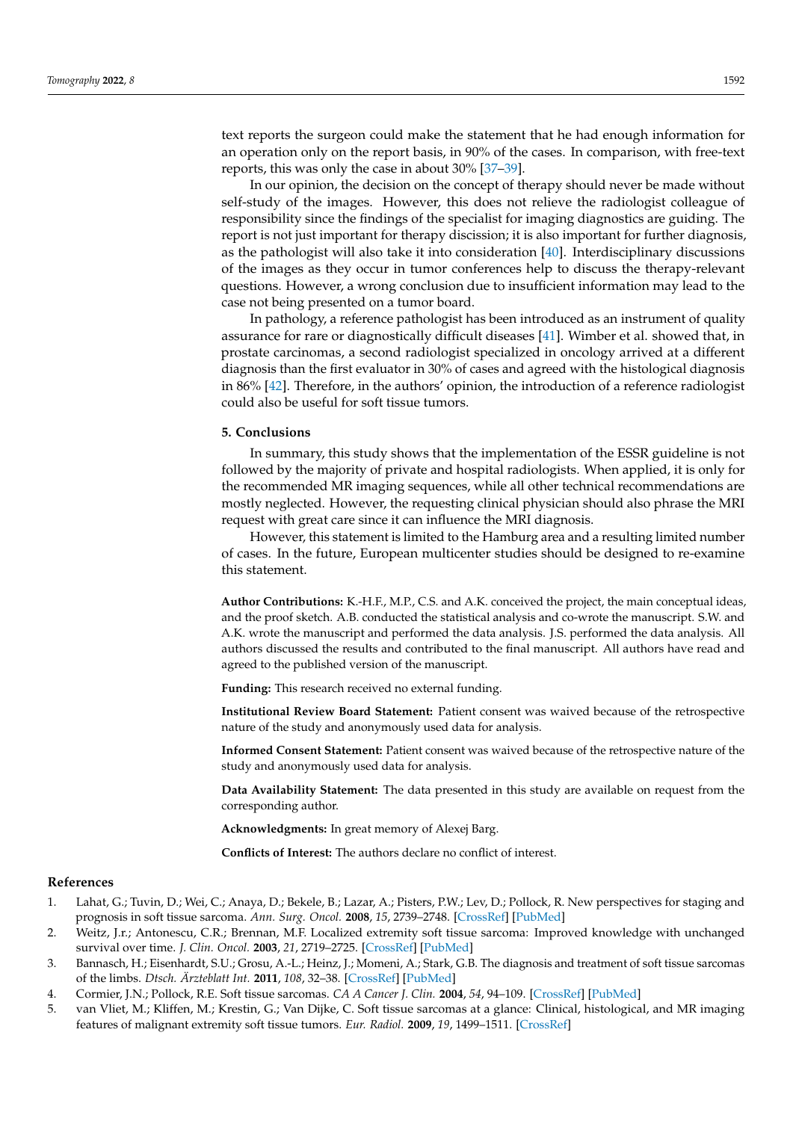text reports the surgeon could make the statement that he had enough information for an operation only on the report basis, in 90% of the cases. In comparison, with free-text reports, this was only the case in about 30% [\[37–](#page-8-2)[39\]](#page-8-3).

In our opinion, the decision on the concept of therapy should never be made without self-study of the images. However, this does not relieve the radiologist colleague of responsibility since the findings of the specialist for imaging diagnostics are guiding. The report is not just important for therapy discission; it is also important for further diagnosis, as the pathologist will also take it into consideration [\[40\]](#page-8-4). Interdisciplinary discussions of the images as they occur in tumor conferences help to discuss the therapy-relevant questions. However, a wrong conclusion due to insufficient information may lead to the case not being presented on a tumor board.

In pathology, a reference pathologist has been introduced as an instrument of quality assurance for rare or diagnostically difficult diseases [\[41\]](#page-8-5). Wimber et al. showed that, in prostate carcinomas, a second radiologist specialized in oncology arrived at a different diagnosis than the first evaluator in 30% of cases and agreed with the histological diagnosis in 86% [\[42\]](#page-8-6). Therefore, in the authors' opinion, the introduction of a reference radiologist could also be useful for soft tissue tumors.

#### **5. Conclusions**

In summary, this study shows that the implementation of the ESSR guideline is not followed by the majority of private and hospital radiologists. When applied, it is only for the recommended MR imaging sequences, while all other technical recommendations are mostly neglected. However, the requesting clinical physician should also phrase the MRI request with great care since it can influence the MRI diagnosis.

However, this statement is limited to the Hamburg area and a resulting limited number of cases. In the future, European multicenter studies should be designed to re-examine this statement.

**Author Contributions:** K.-H.F., M.P., C.S. and A.K. conceived the project, the main conceptual ideas, and the proof sketch. A.B. conducted the statistical analysis and co-wrote the manuscript. S.W. and A.K. wrote the manuscript and performed the data analysis. J.S. performed the data analysis. All authors discussed the results and contributed to the final manuscript. All authors have read and agreed to the published version of the manuscript.

**Funding:** This research received no external funding.

**Institutional Review Board Statement:** Patient consent was waived because of the retrospective nature of the study and anonymously used data for analysis.

**Informed Consent Statement:** Patient consent was waived because of the retrospective nature of the study and anonymously used data for analysis.

**Data Availability Statement:** The data presented in this study are available on request from the corresponding author.

**Acknowledgments:** In great memory of Alexej Barg.

**Conflicts of Interest:** The authors declare no conflict of interest.

## **References**

- <span id="page-6-0"></span>1. Lahat, G.; Tuvin, D.; Wei, C.; Anaya, D.; Bekele, B.; Lazar, A.; Pisters, P.W.; Lev, D.; Pollock, R. New perspectives for staging and prognosis in soft tissue sarcoma. *Ann. Surg. Oncol.* **2008**, *15*, 2739–2748. [\[CrossRef\]](http://doi.org/10.1245/s10434-008-9970-6) [\[PubMed\]](http://www.ncbi.nlm.nih.gov/pubmed/18521685)
- <span id="page-6-1"></span>2. Weitz, J.r.; Antonescu, C.R.; Brennan, M.F. Localized extremity soft tissue sarcoma: Improved knowledge with unchanged survival over time. *J. Clin. Oncol.* **2003**, *21*, 2719–2725. [\[CrossRef\]](http://doi.org/10.1200/JCO.2003.02.026) [\[PubMed\]](http://www.ncbi.nlm.nih.gov/pubmed/12860950)
- <span id="page-6-2"></span>3. Bannasch, H.; Eisenhardt, S.U.; Grosu, A.-L.; Heinz, J.; Momeni, A.; Stark, G.B. The diagnosis and treatment of soft tissue sarcomas of the limbs. *Dtsch. Ärzteblatt Int.* **2011**, *108*, 32–38. [\[CrossRef\]](http://doi.org/10.3238/arztebl.2011.0032) [\[PubMed\]](http://www.ncbi.nlm.nih.gov/pubmed/21286000)
- <span id="page-6-3"></span>4. Cormier, J.N.; Pollock, R.E. Soft tissue sarcomas. *CA A Cancer J. Clin.* **2004**, *54*, 94–109. [\[CrossRef\]](http://doi.org/10.3322/canjclin.54.2.94) [\[PubMed\]](http://www.ncbi.nlm.nih.gov/pubmed/15061599)
- 5. van Vliet, M.; Kliffen, M.; Krestin, G.; Van Dijke, C. Soft tissue sarcomas at a glance: Clinical, histological, and MR imaging features of malignant extremity soft tissue tumors. *Eur. Radiol.* **2009**, *19*, 1499–1511. [\[CrossRef\]](http://doi.org/10.1007/s00330-008-1292-3)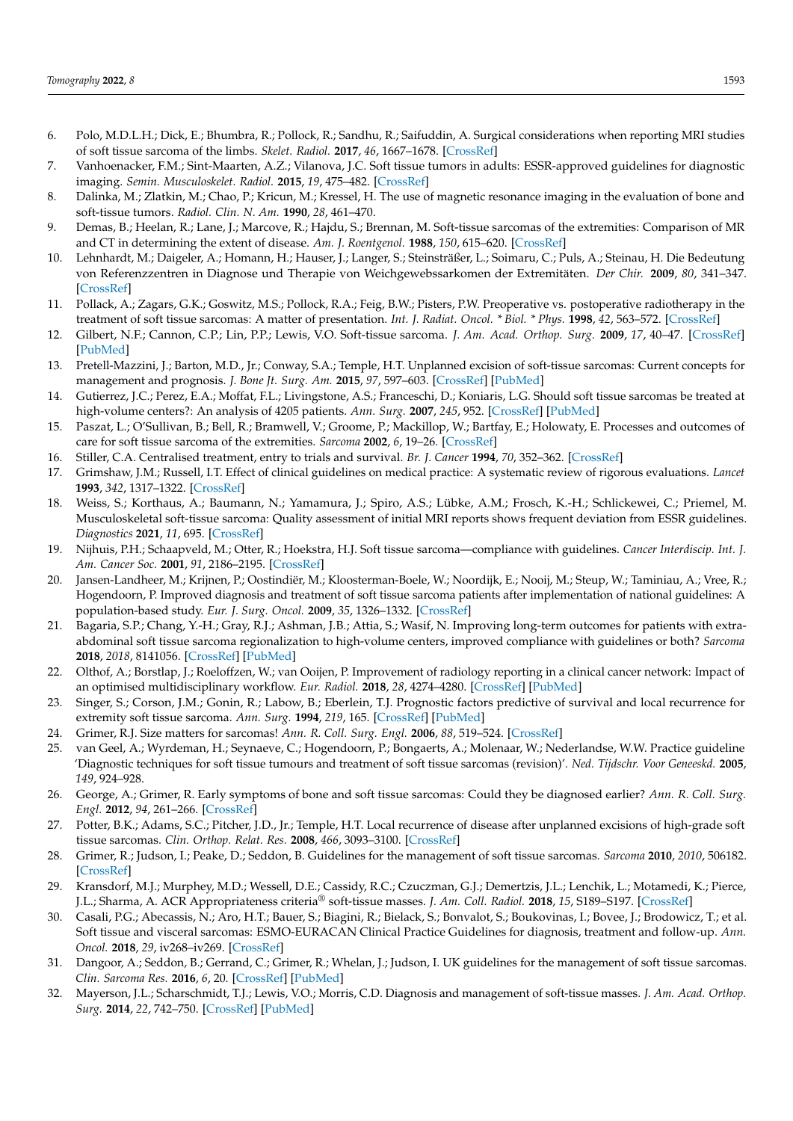- <span id="page-7-0"></span>6. Polo, M.D.L.H.; Dick, E.; Bhumbra, R.; Pollock, R.; Sandhu, R.; Saifuddin, A. Surgical considerations when reporting MRI studies of soft tissue sarcoma of the limbs. *Skelet. Radiol.* **2017**, *46*, 1667–1678. [\[CrossRef\]](http://doi.org/10.1007/s00256-017-2745-z)
- <span id="page-7-7"></span>7. Vanhoenacker, F.M.; Sint-Maarten, A.Z.; Vilanova, J.C. Soft tissue tumors in adults: ESSR-approved guidelines for diagnostic imaging. *Semin. Musculoskelet. Radiol.* **2015**, *19*, 475–482. [\[CrossRef\]](http://doi.org/10.1055/s-0036-1572350)
- 8. Dalinka, M.; Zlatkin, M.; Chao, P.; Kricun, M.; Kressel, H. The use of magnetic resonance imaging in the evaluation of bone and soft-tissue tumors. *Radiol. Clin. N. Am.* **1990**, *28*, 461–470.
- <span id="page-7-1"></span>9. Demas, B.; Heelan, R.; Lane, J.; Marcove, R.; Hajdu, S.; Brennan, M. Soft-tissue sarcomas of the extremities: Comparison of MR and CT in determining the extent of disease. *Am. J. Roentgenol.* **1988**, *150*, 615–620. [\[CrossRef\]](http://doi.org/10.2214/ajr.150.3.615)
- <span id="page-7-2"></span>10. Lehnhardt, M.; Daigeler, A.; Homann, H.; Hauser, J.; Langer, S.; Steinsträßer, L.; Soimaru, C.; Puls, A.; Steinau, H. Die Bedeutung von Referenzzentren in Diagnose und Therapie von Weichgewebssarkomen der Extremitäten. *Der Chir.* **2009**, *80*, 341–347. [\[CrossRef\]](http://doi.org/10.1007/s00104-008-1562-2)
- 11. Pollack, A.; Zagars, G.K.; Goswitz, M.S.; Pollock, R.A.; Feig, B.W.; Pisters, P.W. Preoperative vs. postoperative radiotherapy in the treatment of soft tissue sarcomas: A matter of presentation. *Int. J. Radiat. Oncol. \* Biol. \* Phys.* **1998**, *42*, 563–572. [\[CrossRef\]](http://doi.org/10.1016/S0360-3016(98)00277-6)
- <span id="page-7-3"></span>12. Gilbert, N.F.; Cannon, C.P.; Lin, P.P.; Lewis, V.O. Soft-tissue sarcoma. *J. Am. Acad. Orthop. Surg.* **2009**, *17*, 40–47. [\[CrossRef\]](http://doi.org/10.5435/00124635-200901000-00006) [\[PubMed\]](http://www.ncbi.nlm.nih.gov/pubmed/19136426)
- <span id="page-7-4"></span>13. Pretell-Mazzini, J.; Barton, M.D., Jr.; Conway, S.A.; Temple, H.T. Unplanned excision of soft-tissue sarcomas: Current concepts for management and prognosis. *J. Bone Jt. Surg. Am.* **2015**, *97*, 597–603. [\[CrossRef\]](http://doi.org/10.2106/JBJS.N.00649) [\[PubMed\]](http://www.ncbi.nlm.nih.gov/pubmed/25834085)
- 14. Gutierrez, J.C.; Perez, E.A.; Moffat, F.L.; Livingstone, A.S.; Franceschi, D.; Koniaris, L.G. Should soft tissue sarcomas be treated at high-volume centers?: An analysis of 4205 patients. *Ann. Surg.* **2007**, *245*, 952. [\[CrossRef\]](http://doi.org/10.1097/01.sla.0000250438.04393.a8) [\[PubMed\]](http://www.ncbi.nlm.nih.gov/pubmed/17522521)
- 15. Paszat, L.; O'Sullivan, B.; Bell, R.; Bramwell, V.; Groome, P.; Mackillop, W.; Bartfay, E.; Holowaty, E. Processes and outcomes of care for soft tissue sarcoma of the extremities. *Sarcoma* **2002**, *6*, 19–26. [\[CrossRef\]](http://doi.org/10.1080/13577140220127521)
- <span id="page-7-5"></span>16. Stiller, C.A. Centralised treatment, entry to trials and survival. *Br. J. Cancer* **1994**, *70*, 352–362. [\[CrossRef\]](http://doi.org/10.1038/bjc.1994.306)
- <span id="page-7-6"></span>17. Grimshaw, J.M.; Russell, I.T. Effect of clinical guidelines on medical practice: A systematic review of rigorous evaluations. *Lancet* **1993**, *342*, 1317–1322. [\[CrossRef\]](http://doi.org/10.1016/0140-6736(93)92244-N)
- <span id="page-7-8"></span>18. Weiss, S.; Korthaus, A.; Baumann, N.; Yamamura, J.; Spiro, A.S.; Lübke, A.M.; Frosch, K.-H.; Schlickewei, C.; Priemel, M. Musculoskeletal soft-tissue sarcoma: Quality assessment of initial MRI reports shows frequent deviation from ESSR guidelines. *Diagnostics* **2021**, *11*, 695. [\[CrossRef\]](http://doi.org/10.3390/diagnostics11040695)
- <span id="page-7-9"></span>19. Nijhuis, P.H.; Schaapveld, M.; Otter, R.; Hoekstra, H.J. Soft tissue sarcoma—compliance with guidelines. *Cancer Interdiscip. Int. J. Am. Cancer Soc.* **2001**, *91*, 2186–2195. [\[CrossRef\]](http://doi.org/10.1002/1097-0142(20010601)91:11<2186::AID-CNCR1248>3.0.CO;2-3)
- <span id="page-7-10"></span>20. Jansen-Landheer, M.; Krijnen, P.; Oostindiër, M.; Kloosterman-Boele, W.; Noordijk, E.; Nooij, M.; Steup, W.; Taminiau, A.; Vree, R.; Hogendoorn, P. Improved diagnosis and treatment of soft tissue sarcoma patients after implementation of national guidelines: A population-based study. *Eur. J. Surg. Oncol.* **2009**, *35*, 1326–1332. [\[CrossRef\]](http://doi.org/10.1016/j.ejso.2009.05.002)
- <span id="page-7-11"></span>21. Bagaria, S.P.; Chang, Y.-H.; Gray, R.J.; Ashman, J.B.; Attia, S.; Wasif, N. Improving long-term outcomes for patients with extraabdominal soft tissue sarcoma regionalization to high-volume centers, improved compliance with guidelines or both? *Sarcoma* **2018**, *2018*, 8141056. [\[CrossRef\]](http://doi.org/10.1155/2018/8141056) [\[PubMed\]](http://www.ncbi.nlm.nih.gov/pubmed/29849479)
- <span id="page-7-12"></span>22. Olthof, A.; Borstlap, J.; Roeloffzen, W.; van Ooijen, P. Improvement of radiology reporting in a clinical cancer network: Impact of an optimised multidisciplinary workflow. *Eur. Radiol.* **2018**, *28*, 4274–4280. [\[CrossRef\]](http://doi.org/10.1007/s00330-018-5427-x) [\[PubMed\]](http://www.ncbi.nlm.nih.gov/pubmed/29679214)
- <span id="page-7-13"></span>23. Singer, S.; Corson, J.M.; Gonin, R.; Labow, B.; Eberlein, T.J. Prognostic factors predictive of survival and local recurrence for extremity soft tissue sarcoma. *Ann. Surg.* **1994**, *219*, 165. [\[CrossRef\]](http://doi.org/10.1097/00000658-199402000-00008) [\[PubMed\]](http://www.ncbi.nlm.nih.gov/pubmed/8129487)
- <span id="page-7-14"></span>24. Grimer, R.J. Size matters for sarcomas! *Ann. R. Coll. Surg. Engl.* **2006**, *88*, 519–524. [\[CrossRef\]](http://doi.org/10.1308/003588406X130651)
- <span id="page-7-15"></span>25. van Geel, A.; Wyrdeman, H.; Seynaeve, C.; Hogendoorn, P.; Bongaerts, A.; Molenaar, W.; Nederlandse, W.W. Practice guideline 'Diagnostic techniques for soft tissue tumours and treatment of soft tissue sarcomas (revision)'. *Ned. Tijdschr. Voor Geneeskd.* **2005**, *149*, 924–928.
- <span id="page-7-16"></span>26. George, A.; Grimer, R. Early symptoms of bone and soft tissue sarcomas: Could they be diagnosed earlier? *Ann. R. Coll. Surg. Engl.* **2012**, *94*, 261–266. [\[CrossRef\]](http://doi.org/10.1308/003588412X13171221590016)
- <span id="page-7-17"></span>27. Potter, B.K.; Adams, S.C.; Pitcher, J.D., Jr.; Temple, H.T. Local recurrence of disease after unplanned excisions of high-grade soft tissue sarcomas. *Clin. Orthop. Relat. Res.* **2008**, *466*, 3093–3100. [\[CrossRef\]](http://doi.org/10.1007/s11999-008-0529-4)
- <span id="page-7-18"></span>28. Grimer, R.; Judson, I.; Peake, D.; Seddon, B. Guidelines for the management of soft tissue sarcomas. *Sarcoma* **2010**, *2010*, 506182. [\[CrossRef\]](http://doi.org/10.1155/2010/506182)
- 29. Kransdorf, M.J.; Murphey, M.D.; Wessell, D.E.; Cassidy, R.C.; Czuczman, G.J.; Demertzis, J.L.; Lenchik, L.; Motamedi, K.; Pierce, J.L.; Sharma, A. ACR Appropriateness criteria® soft-tissue masses. *J. Am. Coll. Radiol.* **2018**, *15*, S189–S197. [\[CrossRef\]](http://doi.org/10.1016/j.jacr.2018.03.012)
- 30. Casali, P.G.; Abecassis, N.; Aro, H.T.; Bauer, S.; Biagini, R.; Bielack, S.; Bonvalot, S.; Boukovinas, I.; Bovee, J.; Brodowicz, T.; et al. Soft tissue and visceral sarcomas: ESMO-EURACAN Clinical Practice Guidelines for diagnosis, treatment and follow-up. *Ann. Oncol.* **2018**, *29*, iv268–iv269. [\[CrossRef\]](http://doi.org/10.1093/annonc/mdy321)
- 31. Dangoor, A.; Seddon, B.; Gerrand, C.; Grimer, R.; Whelan, J.; Judson, I. UK guidelines for the management of soft tissue sarcomas. *Clin. Sarcoma Res.* **2016**, *6*, 20. [\[CrossRef\]](http://doi.org/10.1186/s13569-016-0060-4) [\[PubMed\]](http://www.ncbi.nlm.nih.gov/pubmed/27891213)
- <span id="page-7-19"></span>32. Mayerson, J.L.; Scharschmidt, T.J.; Lewis, V.O.; Morris, C.D. Diagnosis and management of soft-tissue masses. *J. Am. Acad. Orthop. Surg.* **2014**, *22*, 742–750. [\[CrossRef\]](http://doi.org/10.5435/JAAOS-22-11-742) [\[PubMed\]](http://www.ncbi.nlm.nih.gov/pubmed/25344599)